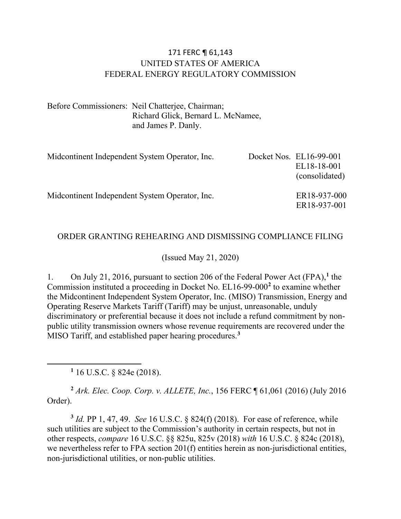#### 171 FERC ¶ 61,143 UNITED STATES OF AMERICA FEDERAL ENERGY REGULATORY COMMISSION

Before Commissioners: Neil Chatterjee, Chairman; Richard Glick, Bernard L. McNamee, and James P. Danly.

| Midcontinent Independent System Operator, Inc. | Docket Nos. EL16-99-001<br>EL18-18-001<br>(consolidated) |
|------------------------------------------------|----------------------------------------------------------|
| Midcontinent Independent System Operator, Inc. | ER18-937-000<br>ER18-937-001                             |

#### ORDER GRANTING REHEARING AND DISMISSING COMPLIANCE FILING

#### (Issued May 21, 2020)

1. On July 21, 2016, pursuant to section 206 of the Federal Power Act (FPA),**[1](#page-0-0)** the Commission instituted a proceeding in Docket No. EL16-99-000**[2](#page-0-1)** to examine whether the Midcontinent Independent System Operator, Inc. (MISO) Transmission, Energy and Operating Reserve Markets Tariff (Tariff) may be unjust, unreasonable, unduly discriminatory or preferential because it does not include a refund commitment by nonpublic utility transmission owners whose revenue requirements are recovered under the MISO Tariff, and established paper hearing procedures.**[3](#page-0-2)**

**<sup>1</sup>** 16 U.S.C. § 824e (2018).

<span id="page-0-1"></span><span id="page-0-0"></span>**<sup>2</sup>** *Ark. Elec. Coop. Corp. v. ALLETE, Inc.*, 156 FERC ¶ 61,061 (2016) (July 2016 Order).

<span id="page-0-2"></span>**<sup>3</sup>** *Id.* PP 1, 47, 49. *See* 16 U.S.C. § 824(f) (2018). For ease of reference, while such utilities are subject to the Commission's authority in certain respects, but not in other respects, *compare* 16 U.S.C. §§ 825u, 825v (2018) *with* 16 U.S.C. § 824c (2018), we nevertheless refer to FPA section 201(f) entities herein as non-jurisdictional entities, non-jurisdictional utilities, or non-public utilities.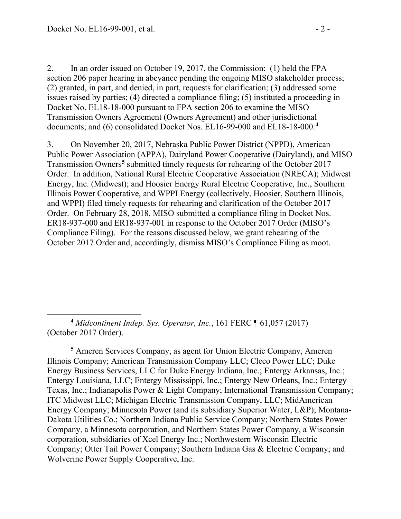2. In an order issued on October 19, 2017, the Commission: (1) held the FPA section 206 paper hearing in abeyance pending the ongoing MISO stakeholder process; (2) granted, in part, and denied, in part, requests for clarification; (3) addressed some issues raised by parties; (4) directed a compliance filing; (5) instituted a proceeding in Docket No. EL18-18-000 pursuant to FPA section 206 to examine the MISO Transmission Owners Agreement (Owners Agreement) and other jurisdictional documents; and (6) consolidated Docket Nos. EL16-99-000 and EL18-18-000.**[4](#page-1-0)**

3. On November 20, 2017, Nebraska Public Power District (NPPD), American Public Power Association (APPA), Dairyland Power Cooperative (Dairyland), and MISO Transmission Owners**[5](#page-1-1)** submitted timely requests for rehearing of the October 2017 Order. In addition, National Rural Electric Cooperative Association (NRECA); Midwest Energy, Inc. (Midwest); and Hoosier Energy Rural Electric Cooperative, Inc., Southern Illinois Power Cooperative, and WPPI Energy (collectively, Hoosier, Southern Illinois, and WPPI) filed timely requests for rehearing and clarification of the October 2017 Order. On February 28, 2018, MISO submitted a compliance filing in Docket Nos. ER18-937-000 and ER18-937-001 in response to the October 2017 Order (MISO's Compliance Filing). For the reasons discussed below, we grant rehearing of the October 2017 Order and, accordingly, dismiss MISO's Compliance Filing as moot.

<span id="page-1-0"></span>**<sup>4</sup>** *Midcontinent Indep. Sys. Operator, Inc.*, 161 FERC ¶ 61,057 (2017) (October 2017 Order).

<span id="page-1-1"></span>**<sup>5</sup>** Ameren Services Company, as agent for Union Electric Company, Ameren Illinois Company; American Transmission Company LLC; Cleco Power LLC; Duke Energy Business Services, LLC for Duke Energy Indiana, Inc.; Entergy Arkansas, Inc.; Entergy Louisiana, LLC; Entergy Mississippi, Inc.; Entergy New Orleans, Inc.; Entergy Texas, Inc.; Indianapolis Power & Light Company; International Transmission Company; ITC Midwest LLC; Michigan Electric Transmission Company, LLC; MidAmerican Energy Company; Minnesota Power (and its subsidiary Superior Water, L&P); Montana-Dakota Utilities Co.; Northern Indiana Public Service Company; Northern States Power Company, a Minnesota corporation, and Northern States Power Company, a Wisconsin corporation, subsidiaries of Xcel Energy Inc.; Northwestern Wisconsin Electric Company; Otter Tail Power Company; Southern Indiana Gas & Electric Company; and Wolverine Power Supply Cooperative, Inc.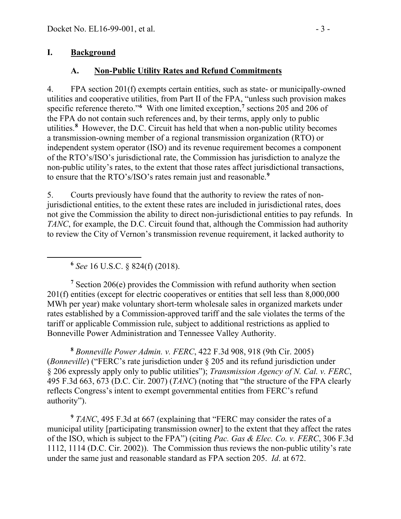#### **I. Background**

### **A. Non-Public Utility Rates and Refund Commitments**

4. FPA section 201(f) exempts certain entities, such as state- or municipally-owned utilities and cooperative utilities, from Part II of the FPA, "unless such provision makes specific reference thereto."**[6](#page-2-0)** With one limited exception,**[7](#page-2-1)** sections 205 and 206 of the FPA do not contain such references and, by their terms, apply only to public utilities.**[8](#page-2-2)** However, the D.C. Circuit has held that when a non-public utility becomes a transmission-owning member of a regional transmission organization (RTO) or independent system operator (ISO) and its revenue requirement becomes a component of the RTO's/ISO's jurisdictional rate, the Commission has jurisdiction to analyze the non-public utility's rates, to the extent that those rates affect jurisdictional transactions, to ensure that the RTO's/ISO's rates remain just and reasonable.**[9](#page-2-3)**

5. Courts previously have found that the authority to review the rates of nonjurisdictional entities, to the extent these rates are included in jurisdictional rates, does not give the Commission the ability to direct non-jurisdictional entities to pay refunds. In *TANC*, for example, the D.C. Circuit found that, although the Commission had authority to review the City of Vernon's transmission revenue requirement, it lacked authority to

**<sup>6</sup>** *See* 16 U.S.C. § 824(f) (2018).

<span id="page-2-1"></span><span id="page-2-0"></span>**<sup>7</sup>** Section 206(e) provides the Commission with refund authority when section 201(f) entities (except for electric cooperatives or entities that sell less than 8,000,000 MWh per year) make voluntary short-term wholesale sales in organized markets under rates established by a Commission-approved tariff and the sale violates the terms of the tariff or applicable Commission rule, subject to additional restrictions as applied to Bonneville Power Administration and Tennessee Valley Authority.

<span id="page-2-2"></span>**<sup>8</sup>** *Bonneville Power Admin. v. FERC*, 422 F.3d 908, 918 (9th Cir. 2005) (*Bonneville*) ("FERC's rate jurisdiction under § 205 and its refund jurisdiction under § 206 expressly apply only to public utilities"); *Transmission Agency of N. Cal. v. FERC*, 495 F.3d 663, 673 (D.C. Cir. 2007) (*TANC*) (noting that "the structure of the FPA clearly reflects Congress's intent to exempt governmental entities from FERC's refund authority").

<span id="page-2-3"></span>**<sup>9</sup>** *TANC*, 495 F.3d at 667 (explaining that "FERC may consider the rates of a municipal utility [participating transmission owner] to the extent that they affect the rates of the ISO, which is subject to the FPA") (citing *Pac. Gas & Elec. Co. v. FERC*, 306 F.3d 1112, 1114 (D.C. Cir. 2002)). The Commission thus reviews the non-public utility's rate under the same just and reasonable standard as FPA section 205. *Id*. at 672.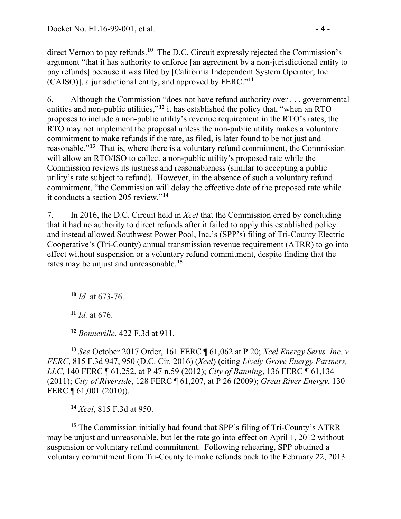direct Vernon to pay refunds.**[10](#page-3-0)** The D.C. Circuit expressly rejected the Commission's argument "that it has authority to enforce [an agreement by a non-jurisdictional entity to pay refunds] because it was filed by [California Independent System Operator, Inc. (CAISO)], a jurisdictional entity, and approved by FERC."**[11](#page-3-1)**

6. Although the Commission "does not have refund authority over . . . governmental entities and non-public utilities,"<sup>[12](#page-3-2)</sup> it has established the policy that, "when an RTO" proposes to include a non-public utility's revenue requirement in the RTO's rates, the RTO may not implement the proposal unless the non-public utility makes a voluntary commitment to make refunds if the rate, as filed, is later found to be not just and reasonable."**[13](#page-3-3)** That is, where there is a voluntary refund commitment, the Commission will allow an RTO/ISO to collect a non-public utility's proposed rate while the Commission reviews its justness and reasonableness (similar to accepting a public utility's rate subject to refund). However, in the absence of such a voluntary refund commitment, "the Commission will delay the effective date of the proposed rate while it conducts a section 205 review."**[14](#page-3-4)**

7. In 2016, the D.C. Circuit held in *Xcel* that the Commission erred by concluding that it had no authority to direct refunds after it failed to apply this established policy and instead allowed Southwest Power Pool, Inc.'s (SPP's) filing of Tri-County Electric Cooperative's (Tri-County) annual transmission revenue requirement (ATRR) to go into effect without suspension or a voluntary refund commitment, despite finding that the rates may be unjust and unreasonable.**[15](#page-3-5)**

<span id="page-3-0"></span>**<sup>10</sup>** *Id.* at 673-76.

**<sup>11</sup>** *Id.* at 676.

**<sup>12</sup>** *Bonneville*, 422 F.3d at 911.

<span id="page-3-3"></span><span id="page-3-2"></span><span id="page-3-1"></span>**<sup>13</sup>** *See* October 2017 Order, 161 FERC ¶ 61,062 at P 20; *Xcel Energy Servs. Inc. v. FERC*, 815 F.3d 947, 950 (D.C. Cir. 2016) (*Xcel*) (citing *Lively Grove Energy Partners, LLC*, 140 FERC ¶ 61,252, at P 47 n.59 (2012); *City of Banning*, 136 FERC ¶ 61,134 (2011); *City of Riverside*, 128 FERC ¶ 61,207, at P 26 (2009); *Great River Energy*, 130 FERC ¶ 61,001 (2010)).

**<sup>14</sup>** *Xcel*, 815 F.3d at 950.

<span id="page-3-5"></span><span id="page-3-4"></span>**<sup>15</sup>** The Commission initially had found that SPP's filing of Tri-County's ATRR may be unjust and unreasonable, but let the rate go into effect on April 1, 2012 without suspension or voluntary refund commitment. Following rehearing, SPP obtained a voluntary commitment from Tri-County to make refunds back to the February 22, 2013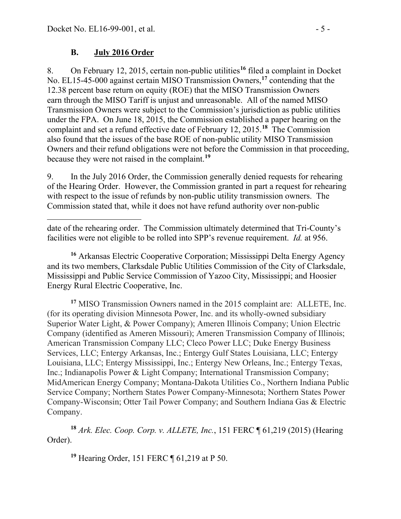## **B. July 2016 Order**

8. On February 12, 2015, certain non-public utilities**[16](#page-4-0)** filed a complaint in Docket No. EL15-45-000 against certain MISO Transmission Owners,**[17](#page-4-1)** contending that the 12.38 percent base return on equity (ROE) that the MISO Transmission Owners earn through the MISO Tariff is unjust and unreasonable. All of the named MISO Transmission Owners were subject to the Commission's jurisdiction as public utilities under the FPA. On June 18, 2015, the Commission established a paper hearing on the complaint and set a refund effective date of February 12, 2015.**[18](#page-4-2)** The Commission also found that the issues of the base ROE of non-public utility MISO Transmission Owners and their refund obligations were not before the Commission in that proceeding, because they were not raised in the complaint.**[19](#page-4-3)**

9. In the July 2016 Order, the Commission generally denied requests for rehearing of the Hearing Order. However, the Commission granted in part a request for rehearing with respect to the issue of refunds by non-public utility transmission owners. The Commission stated that, while it does not have refund authority over non-public

<span id="page-4-0"></span>**<sup>16</sup>** Arkansas Electric Cooperative Corporation; Mississippi Delta Energy Agency and its two members, Clarksdale Public Utilities Commission of the City of Clarksdale, Mississippi and Public Service Commission of Yazoo City, Mississippi; and Hoosier Energy Rural Electric Cooperative, Inc.

<span id="page-4-1"></span>**<sup>17</sup>** MISO Transmission Owners named in the 2015 complaint are: ALLETE, Inc. (for its operating division Minnesota Power, Inc. and its wholly-owned subsidiary Superior Water Light, & Power Company); Ameren Illinois Company; Union Electric Company (identified as Ameren Missouri); Ameren Transmission Company of Illinois; American Transmission Company LLC; Cleco Power LLC; Duke Energy Business Services, LLC; Entergy Arkansas, Inc.; Entergy Gulf States Louisiana, LLC; Entergy Louisiana, LLC; Entergy Mississippi, Inc.; Entergy New Orleans, Inc.; Entergy Texas, Inc.; Indianapolis Power & Light Company; International Transmission Company; MidAmerican Energy Company; Montana-Dakota Utilities Co., Northern Indiana Public Service Company; Northern States Power Company-Minnesota; Northern States Power Company-Wisconsin; Otter Tail Power Company; and Southern Indiana Gas & Electric Company.

<span id="page-4-3"></span><span id="page-4-2"></span>**<sup>18</sup>** *Ark. Elec. Coop. Corp. v. ALLETE, Inc.*, 151 FERC ¶ 61,219 (2015) (Hearing Order).

**<sup>19</sup>** Hearing Order, 151 FERC ¶ 61,219 at P 50.

date of the rehearing order. The Commission ultimately determined that Tri-County's facilities were not eligible to be rolled into SPP's revenue requirement. *Id.* at 956.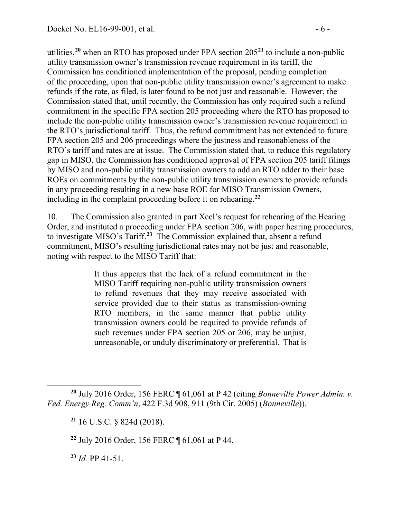utilities,**[20](#page-5-0)** when an RTO has proposed under FPA section 205**[21](#page-5-1)** to include a non-public utility transmission owner's transmission revenue requirement in its tariff, the Commission has conditioned implementation of the proposal, pending completion of the proceeding, upon that non-public utility transmission owner's agreement to make refunds if the rate, as filed, is later found to be not just and reasonable. However, the Commission stated that, until recently, the Commission has only required such a refund commitment in the specific FPA section 205 proceeding where the RTO has proposed to include the non-public utility transmission owner's transmission revenue requirement in the RTO's jurisdictional tariff. Thus, the refund commitment has not extended to future FPA section 205 and 206 proceedings where the justness and reasonableness of the RTO's tariff and rates are at issue. The Commission stated that, to reduce this regulatory gap in MISO, the Commission has conditioned approval of FPA section 205 tariff filings by MISO and non-public utility transmission owners to add an RTO adder to their base ROEs on commitments by the non-public utility transmission owners to provide refunds in any proceeding resulting in a new base ROE for MISO Transmission Owners, including in the complaint proceeding before it on rehearing. **[22](#page-5-2)**

10. The Commission also granted in part Xcel's request for rehearing of the Hearing Order, and instituted a proceeding under FPA section 206, with paper hearing procedures, to investigate MISO's Tariff.**[23](#page-5-3)** The Commission explained that, absent a refund commitment, MISO's resulting jurisdictional rates may not be just and reasonable, noting with respect to the MISO Tariff that:

> It thus appears that the lack of a refund commitment in the MISO Tariff requiring non-public utility transmission owners to refund revenues that they may receive associated with service provided due to their status as transmission-owning RTO members, in the same manner that public utility transmission owners could be required to provide refunds of such revenues under FPA section 205 or 206, may be unjust, unreasonable, or unduly discriminatory or preferential. That is

<span id="page-5-3"></span>**<sup>23</sup>** *Id.* PP 41-51.

<span id="page-5-2"></span><span id="page-5-1"></span><span id="page-5-0"></span>**<sup>20</sup>** July 2016 Order, 156 FERC ¶ 61,061 at P 42 (citing *Bonneville Power Admin. v. Fed. Energy Reg. Comm'n*, 422 F.3d 908, 911 (9th Cir. 2005) (*Bonneville*)).

**<sup>21</sup>** 16 U.S.C. § 824d (2018).

**<sup>22</sup>** July 2016 Order, 156 FERC ¶ 61,061 at P 44.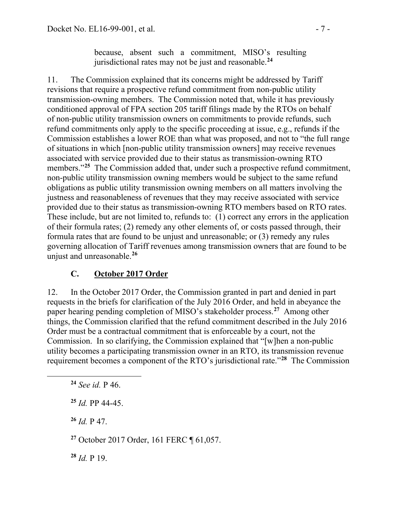because, absent such a commitment, MISO's resulting jurisdictional rates may not be just and reasonable.**[24](#page-6-0)**

11. The Commission explained that its concerns might be addressed by Tariff revisions that require a prospective refund commitment from non-public utility transmission-owning members. The Commission noted that, while it has previously conditioned approval of FPA section 205 tariff filings made by the RTOs on behalf of non-public utility transmission owners on commitments to provide refunds, such refund commitments only apply to the specific proceeding at issue, e.g., refunds if the Commission establishes a lower ROE than what was proposed, and not to "the full range of situations in which [non-public utility transmission owners] may receive revenues associated with service provided due to their status as transmission-owning RTO members."<sup>[25](#page-6-1)</sup> The Commission added that, under such a prospective refund commitment, non-public utility transmission owning members would be subject to the same refund obligations as public utility transmission owning members on all matters involving the justness and reasonableness of revenues that they may receive associated with service provided due to their status as transmission-owning RTO members based on RTO rates. These include, but are not limited to, refunds to: (1) correct any errors in the application of their formula rates; (2) remedy any other elements of, or costs passed through, their formula rates that are found to be unjust and unreasonable; or (3) remedy any rules governing allocation of Tariff revenues among transmission owners that are found to be unjust and unreasonable.**[26](#page-6-2)**

### **C. October 2017 Order**

12. In the October 2017 Order, the Commission granted in part and denied in part requests in the briefs for clarification of the July 2016 Order, and held in abeyance the paper hearing pending completion of MISO's stakeholder process.**[27](#page-6-3)** Among other things, the Commission clarified that the refund commitment described in the July 2016 Order must be a contractual commitment that is enforceable by a court, not the Commission. In so clarifying, the Commission explained that "[w]hen a non-public utility becomes a participating transmission owner in an RTO, its transmission revenue requirement becomes a component of the RTO's jurisdictional rate."**[28](#page-6-4)** The Commission

<span id="page-6-0"></span>**<sup>24</sup>** *See id.* P 46.

<span id="page-6-1"></span>**<sup>25</sup>** *Id.* PP 44-45.

<span id="page-6-2"></span>**<sup>26</sup>** *Id.* P 47.

<span id="page-6-3"></span>**<sup>27</sup>** October 2017 Order, 161 FERC ¶ 61,057.

<span id="page-6-4"></span>**<sup>28</sup>** *Id.* P 19.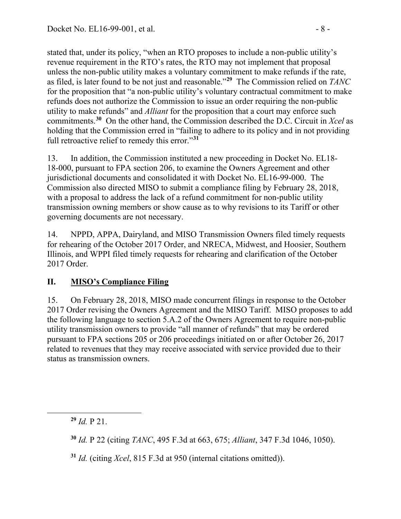stated that, under its policy, "when an RTO proposes to include a non-public utility's revenue requirement in the RTO's rates, the RTO may not implement that proposal unless the non-public utility makes a voluntary commitment to make refunds if the rate, as filed, is later found to be not just and reasonable."**[29](#page-7-0)** The Commission relied on *TANC* for the proposition that "a non-public utility's voluntary contractual commitment to make refunds does not authorize the Commission to issue an order requiring the non-public utility to make refunds" and *Alliant* for the proposition that a court may enforce such commitments.**[30](#page-7-1)** On the other hand, the Commission described the D.C. Circuit in *Xcel* as holding that the Commission erred in "failing to adhere to its policy and in not providing full retroactive relief to remedy this error."**[31](#page-7-2)**

13. In addition, the Commission instituted a new proceeding in Docket No. EL18- 18-000, pursuant to FPA section 206, to examine the Owners Agreement and other jurisdictional documents and consolidated it with Docket No. EL16-99-000. The Commission also directed MISO to submit a compliance filing by February 28, 2018, with a proposal to address the lack of a refund commitment for non-public utility transmission owning members or show cause as to why revisions to its Tariff or other governing documents are not necessary.

14. NPPD, APPA, Dairyland, and MISO Transmission Owners filed timely requests for rehearing of the October 2017 Order, and NRECA, Midwest, and Hoosier, Southern Illinois, and WPPI filed timely requests for rehearing and clarification of the October 2017 Order.

# **II. MISO's Compliance Filing**

15. On February 28, 2018, MISO made concurrent filings in response to the October 2017 Order revising the Owners Agreement and the MISO Tariff. MISO proposes to add the following language to section 5.A.2 of the Owners Agreement to require non-public utility transmission owners to provide "all manner of refunds" that may be ordered pursuant to FPA sections 205 or 206 proceedings initiated on or after October 26, 2017 related to revenues that they may receive associated with service provided due to their status as transmission owners.

<span id="page-7-0"></span>**<sup>29</sup>** *Id.* P 21.

<span id="page-7-1"></span>**<sup>30</sup>** *Id.* P 22 (citing *TANC*, 495 F.3d at 663, 675; *Alliant*, 347 F.3d 1046, 1050).

<span id="page-7-2"></span>**<sup>31</sup>** *Id.* (citing *Xcel*, 815 F.3d at 950 (internal citations omitted)).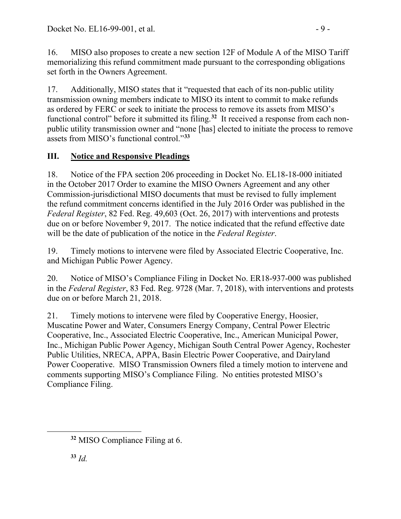16. MISO also proposes to create a new section 12F of Module A of the MISO Tariff memorializing this refund commitment made pursuant to the corresponding obligations set forth in the Owners Agreement.

17. Additionally, MISO states that it "requested that each of its non-public utility transmission owning members indicate to MISO its intent to commit to make refunds as ordered by FERC or seek to initiate the process to remove its assets from MISO's functional control" before it submitted its filing.**[32](#page-8-0)** It received a response from each nonpublic utility transmission owner and "none [has] elected to initiate the process to remove assets from MISO's functional control."**[33](#page-8-1)**

# **III. Notice and Responsive Pleadings**

18. Notice of the FPA section 206 proceeding in Docket No. EL18-18-000 initiated in the October 2017 Order to examine the MISO Owners Agreement and any other Commission-jurisdictional MISO documents that must be revised to fully implement the refund commitment concerns identified in the July 2016 Order was published in the *Federal Register*, 82 Fed. Reg. 49,603 (Oct. 26, 2017) with interventions and protests due on or before November 9, 2017. The notice indicated that the refund effective date will be the date of publication of the notice in the *Federal Register*.

19. Timely motions to intervene were filed by Associated Electric Cooperative, Inc. and Michigan Public Power Agency.

20. Notice of MISO's Compliance Filing in Docket No. ER18-937-000 was published in the *Federal Register*, 83 Fed. Reg. 9728 (Mar. 7, 2018), with interventions and protests due on or before March 21, 2018.

21. Timely motions to intervene were filed by Cooperative Energy, Hoosier, Muscatine Power and Water, Consumers Energy Company, Central Power Electric Cooperative, Inc., Associated Electric Cooperative, Inc., American Municipal Power, Inc., Michigan Public Power Agency, Michigan South Central Power Agency, Rochester Public Utilities, NRECA, APPA, Basin Electric Power Cooperative, and Dairyland Power Cooperative. MISO Transmission Owners filed a timely motion to intervene and comments supporting MISO's Compliance Filing. No entities protested MISO's Compliance Filing.

<span id="page-8-1"></span>**<sup>33</sup>** *Id.*

<span id="page-8-0"></span>**<sup>32</sup>** MISO Compliance Filing at 6.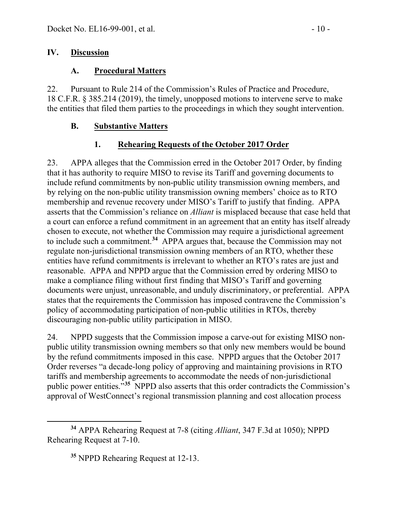### **IV. Discussion**

## **A. Procedural Matters**

22. Pursuant to Rule 214 of the Commission's Rules of Practice and Procedure, 18 C.F.R. § 385.214 (2019), the timely, unopposed motions to intervene serve to make the entities that filed them parties to the proceedings in which they sought intervention.

# **B. Substantive Matters**

# **1. Rehearing Requests of the October 2017 Order**

23. APPA alleges that the Commission erred in the October 2017 Order, by finding that it has authority to require MISO to revise its Tariff and governing documents to include refund commitments by non-public utility transmission owning members, and by relying on the non-public utility transmission owning members' choice as to RTO membership and revenue recovery under MISO's Tariff to justify that finding. APPA asserts that the Commission's reliance on *Alliant* is misplaced because that case held that a court can enforce a refund commitment in an agreement that an entity has itself already chosen to execute, not whether the Commission may require a jurisdictional agreement to include such a commitment.**[34](#page-9-0)** APPA argues that, because the Commission may not regulate non-jurisdictional transmission owning members of an RTO, whether these entities have refund commitments is irrelevant to whether an RTO's rates are just and reasonable. APPA and NPPD argue that the Commission erred by ordering MISO to make a compliance filing without first finding that MISO's Tariff and governing documents were unjust, unreasonable, and unduly discriminatory, or preferential. APPA states that the requirements the Commission has imposed contravene the Commission's policy of accommodating participation of non-public utilities in RTOs, thereby discouraging non-public utility participation in MISO.

24. NPPD suggests that the Commission impose a carve-out for existing MISO nonpublic utility transmission owning members so that only new members would be bound by the refund commitments imposed in this case. NPPD argues that the October 2017 Order reverses "a decade-long policy of approving and maintaining provisions in RTO tariffs and membership agreements to accommodate the needs of non-jurisdictional public power entities."**[35](#page-9-1)** NPPD also asserts that this order contradicts the Commission's approval of WestConnect's regional transmission planning and cost allocation process

<span id="page-9-1"></span><span id="page-9-0"></span>**<sup>34</sup>** APPA Rehearing Request at 7-8 (citing *Alliant*, 347 F.3d at 1050); NPPD Rehearing Request at 7-10.

**<sup>35</sup>** NPPD Rehearing Request at 12-13.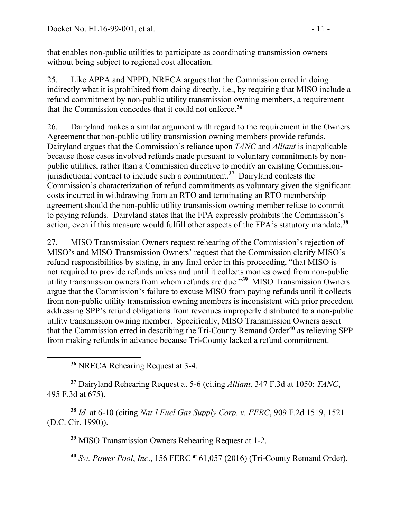that enables non-public utilities to participate as coordinating transmission owners without being subject to regional cost allocation.

25. Like APPA and NPPD, NRECA argues that the Commission erred in doing indirectly what it is prohibited from doing directly, i.e., by requiring that MISO include a refund commitment by non-public utility transmission owning members, a requirement that the Commission concedes that it could not enforce.**[36](#page-10-0)**

26. Dairyland makes a similar argument with regard to the requirement in the Owners Agreement that non-public utility transmission owning members provide refunds. Dairyland argues that the Commission's reliance upon *TANC* and *Alliant* is inapplicable because those cases involved refunds made pursuant to voluntary commitments by nonpublic utilities, rather than a Commission directive to modify an existing Commissionjurisdictional contract to include such a commitment.**[37](#page-10-1)** Dairyland contests the Commission's characterization of refund commitments as voluntary given the significant costs incurred in withdrawing from an RTO and terminating an RTO membership agreement should the non-public utility transmission owning member refuse to commit to paying refunds. Dairyland states that the FPA expressly prohibits the Commission's action, even if this measure would fulfill other aspects of the FPA's statutory mandate.**[38](#page-10-2)**

27. MISO Transmission Owners request rehearing of the Commission's rejection of MISO's and MISO Transmission Owners' request that the Commission clarify MISO's refund responsibilities by stating, in any final order in this proceeding, "that MISO is not required to provide refunds unless and until it collects monies owed from non-public utility transmission owners from whom refunds are due."**[39](#page-10-3)** MISO Transmission Owners argue that the Commission's failure to excuse MISO from paying refunds until it collects from non-public utility transmission owning members is inconsistent with prior precedent addressing SPP's refund obligations from revenues improperly distributed to a non-public utility transmission owning member. Specifically, MISO Transmission Owners assert that the Commission erred in describing the Tri-County Remand Order**[40](#page-10-4)** as relieving SPP from making refunds in advance because Tri-County lacked a refund commitment.

**<sup>36</sup>** NRECA Rehearing Request at 3-4.

<span id="page-10-1"></span><span id="page-10-0"></span>**<sup>37</sup>** Dairyland Rehearing Request at 5-6 (citing *Alliant*, 347 F.3d at 1050; *TANC*, 495 F.3d at 675).

<span id="page-10-4"></span><span id="page-10-3"></span><span id="page-10-2"></span>**<sup>38</sup>** *Id.* at 6-10 (citing *Nat'l Fuel Gas Supply Corp. v. FERC*, 909 F.2d 1519, 1521 (D.C. Cir. 1990)).

**<sup>39</sup>** MISO Transmission Owners Rehearing Request at 1-2.

**<sup>40</sup>** *Sw. Power Pool*, *Inc*., 156 FERC ¶ 61,057 (2016) (Tri-County Remand Order).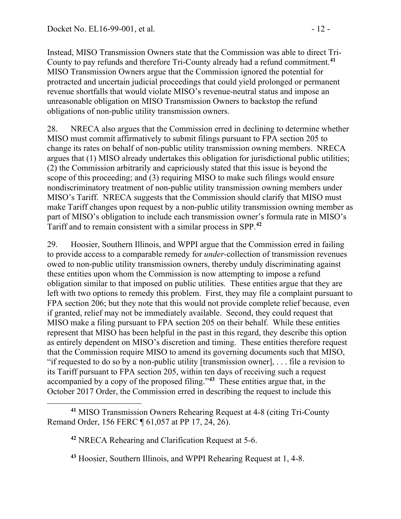Instead, MISO Transmission Owners state that the Commission was able to direct Tri-County to pay refunds and therefore Tri-County already had a refund commitment.**[41](#page-11-0)** MISO Transmission Owners argue that the Commission ignored the potential for protracted and uncertain judicial proceedings that could yield prolonged or permanent revenue shortfalls that would violate MISO's revenue-neutral status and impose an unreasonable obligation on MISO Transmission Owners to backstop the refund obligations of non-public utility transmission owners.

28. NRECA also argues that the Commission erred in declining to determine whether MISO must commit affirmatively to submit filings pursuant to FPA section 205 to change its rates on behalf of non-public utility transmission owning members. NRECA argues that (1) MISO already undertakes this obligation for jurisdictional public utilities; (2) the Commission arbitrarily and capriciously stated that this issue is beyond the scope of this proceeding; and (3) requiring MISO to make such filings would ensure nondiscriminatory treatment of non-public utility transmission owning members under MISO's Tariff. NRECA suggests that the Commission should clarify that MISO must make Tariff changes upon request by a non-public utility transmission owning member as part of MISO's obligation to include each transmission owner's formula rate in MISO's Tariff and to remain consistent with a similar process in SPP.**[42](#page-11-1)**

29. Hoosier, Southern Illinois, and WPPI argue that the Commission erred in failing to provide access to a comparable remedy for *under-*collection of transmission revenues owed to non-public utility transmission owners, thereby unduly discriminating against these entities upon whom the Commission is now attempting to impose a refund obligation similar to that imposed on public utilities. These entities argue that they are left with two options to remedy this problem. First, they may file a complaint pursuant to FPA section 206; but they note that this would not provide complete relief because, even if granted, relief may not be immediately available. Second, they could request that MISO make a filing pursuant to FPA section 205 on their behalf. While these entities represent that MISO has been helpful in the past in this regard, they describe this option as entirely dependent on MISO's discretion and timing. These entities therefore request that the Commission require MISO to amend its governing documents such that MISO, "if requested to do so by a non-public utility [transmission owner], . . . file a revision to its Tariff pursuant to FPA section 205, within ten days of receiving such a request accompanied by a copy of the proposed filing."**[43](#page-11-2)** These entities argue that, in the October 2017 Order, the Commission erred in describing the request to include this

<span id="page-11-2"></span><span id="page-11-1"></span><span id="page-11-0"></span>**<sup>41</sup>** MISO Transmission Owners Rehearing Request at 4-8 (citing Tri-County Remand Order, 156 FERC ¶ 61,057 at PP 17, 24, 26).

**<sup>42</sup>** NRECA Rehearing and Clarification Request at 5-6.

**<sup>43</sup>** Hoosier, Southern Illinois, and WPPI Rehearing Request at 1, 4-8.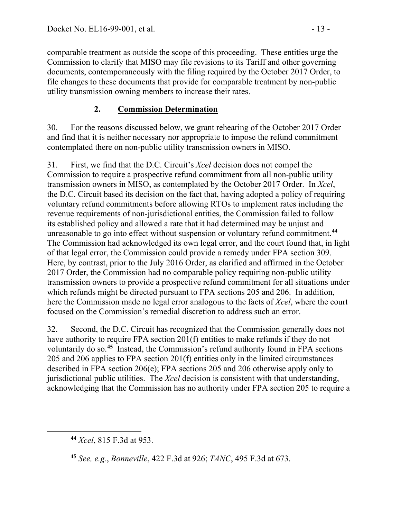comparable treatment as outside the scope of this proceeding. These entities urge the Commission to clarify that MISO may file revisions to its Tariff and other governing documents, contemporaneously with the filing required by the October 2017 Order, to file changes to these documents that provide for comparable treatment by non-public utility transmission owning members to increase their rates.

## **2. Commission Determination**

30. For the reasons discussed below, we grant rehearing of the October 2017 Order and find that it is neither necessary nor appropriate to impose the refund commitment contemplated there on non-public utility transmission owners in MISO.

31. First, we find that the D.C. Circuit's *Xcel* decision does not compel the Commission to require a prospective refund commitment from all non-public utility transmission owners in MISO, as contemplated by the October 2017 Order. In *Xcel*, the D.C. Circuit based its decision on the fact that, having adopted a policy of requiring voluntary refund commitments before allowing RTOs to implement rates including the revenue requirements of non-jurisdictional entities, the Commission failed to follow its established policy and allowed a rate that it had determined may be unjust and unreasonable to go into effect without suspension or voluntary refund commitment.**[44](#page-12-0)** The Commission had acknowledged its own legal error, and the court found that, in light of that legal error, the Commission could provide a remedy under FPA section 309. Here, by contrast, prior to the July 2016 Order, as clarified and affirmed in the October 2017 Order, the Commission had no comparable policy requiring non-public utility transmission owners to provide a prospective refund commitment for all situations under which refunds might be directed pursuant to FPA sections 205 and 206. In addition, here the Commission made no legal error analogous to the facts of *Xcel*, where the court focused on the Commission's remedial discretion to address such an error.

32. Second, the D.C. Circuit has recognized that the Commission generally does not have authority to require FPA section 201(f) entities to make refunds if they do not voluntarily do so. **[45](#page-12-1)** Instead, the Commission's refund authority found in FPA sections 205 and 206 applies to FPA section 201(f) entities only in the limited circumstances described in FPA section 206(e); FPA sections 205 and 206 otherwise apply only to jurisdictional public utilities. The *Xcel* decision is consistent with that understanding, acknowledging that the Commission has no authority under FPA section 205 to require a

<span id="page-12-0"></span>**<sup>44</sup>** *Xcel*, 815 F.3d at 953.

<span id="page-12-1"></span>**<sup>45</sup>** *See, e.g.*, *Bonneville*, 422 F.3d at 926; *TANC*, 495 F.3d at 673.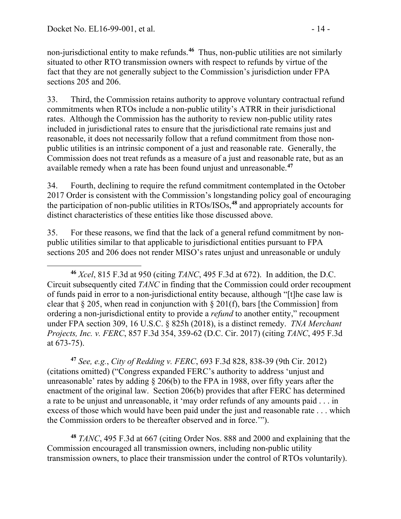non-jurisdictional entity to make refunds.**[46](#page-13-0)** Thus, non-public utilities are not similarly situated to other RTO transmission owners with respect to refunds by virtue of the fact that they are not generally subject to the Commission's jurisdiction under FPA sections 205 and 206.

33. Third, the Commission retains authority to approve voluntary contractual refund commitments when RTOs include a non-public utility's ATRR in their jurisdictional rates. Although the Commission has the authority to review non-public utility rates included in jurisdictional rates to ensure that the jurisdictional rate remains just and reasonable, it does not necessarily follow that a refund commitment from those nonpublic utilities is an intrinsic component of a just and reasonable rate. Generally, the Commission does not treat refunds as a measure of a just and reasonable rate, but as an available remedy when a rate has been found unjust and unreasonable.**[47](#page-13-1)**

34. Fourth, declining to require the refund commitment contemplated in the October 2017 Order is consistent with the Commission's longstanding policy goal of encouraging the participation of non-public utilities in RTOs/ISOs,**[48](#page-13-2)** and appropriately accounts for distinct characteristics of these entities like those discussed above.

35. For these reasons, we find that the lack of a general refund commitment by nonpublic utilities similar to that applicable to jurisdictional entities pursuant to FPA sections 205 and 206 does not render MISO's rates unjust and unreasonable or unduly

<span id="page-13-1"></span>**<sup>47</sup>** *See, e.g.*, *City of Redding v. FERC*, 693 F.3d 828, 838-39 (9th Cir. 2012) (citations omitted) ("Congress expanded FERC's authority to address 'unjust and unreasonable' rates by adding  $\S 206(b)$  to the FPA in 1988, over fifty years after the enactment of the original law. Section 206(b) provides that after FERC has determined a rate to be unjust and unreasonable, it 'may order refunds of any amounts paid . . . in excess of those which would have been paid under the just and reasonable rate . . . which the Commission orders to be thereafter observed and in force.'").

<span id="page-13-2"></span>**<sup>48</sup>** *TANC*, 495 F.3d at 667 (citing Order Nos. 888 and 2000 and explaining that the Commission encouraged all transmission owners, including non-public utility transmission owners, to place their transmission under the control of RTOs voluntarily).

<span id="page-13-0"></span>**<sup>46</sup>** *Xcel*, 815 F.3d at 950 (citing *TANC*, 495 F.3d at 672). In addition, the D.C. Circuit subsequently cited *TANC* in finding that the Commission could order recoupment of funds paid in error to a non-jurisdictional entity because, although "[t]he case law is clear that  $\S 205$ , when read in conjunction with  $\S 201(f)$ , bars [the Commission] from ordering a non-jurisdictional entity to provide a *refund* to another entity," recoupment under FPA section 309, 16 U.S.C. § 825h (2018), is a distinct remedy. *TNA Merchant Projects, Inc. v. FERC*, 857 F.3d 354, 359-62 (D.C. Cir. 2017) (citing *TANC*, 495 F.3d at 673-75).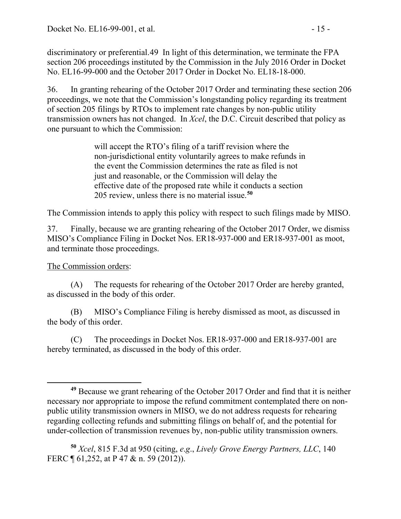discriminatory or preferential.[49](#page-14-0) In light of this determination, we terminate the FPA section 206 proceedings instituted by the Commission in the July 2016 Order in Docket No. EL16-99-000 and the October 2017 Order in Docket No. EL18-18-000.

36. In granting rehearing of the October 2017 Order and terminating these section 206 proceedings, we note that the Commission's longstanding policy regarding its treatment of section 205 filings by RTOs to implement rate changes by non-public utility transmission owners has not changed. In *Xcel*, the D.C. Circuit described that policy as one pursuant to which the Commission:

> will accept the RTO's filing of a tariff revision where the non-jurisdictional entity voluntarily agrees to make refunds in the event the Commission determines the rate as filed is not just and reasonable, or the Commission will delay the effective date of the proposed rate while it conducts a section 205 review, unless there is no material issue.**[50](#page-14-1)**

The Commission intends to apply this policy with respect to such filings made by MISO.

37. Finally, because we are granting rehearing of the October 2017 Order, we dismiss MISO's Compliance Filing in Docket Nos. ER18-937-000 and ER18-937-001 as moot, and terminate those proceedings.

### The Commission orders:

(A) The requests for rehearing of the October 2017 Order are hereby granted, as discussed in the body of this order.

(B) MISO's Compliance Filing is hereby dismissed as moot, as discussed in the body of this order.

(C) The proceedings in Docket Nos. ER18-937-000 and ER18-937-001 are hereby terminated, as discussed in the body of this order.

<span id="page-14-0"></span>**<sup>49</sup>** Because we grant rehearing of the October 2017 Order and find that it is neither necessary nor appropriate to impose the refund commitment contemplated there on nonpublic utility transmission owners in MISO, we do not address requests for rehearing regarding collecting refunds and submitting filings on behalf of, and the potential for under-collection of transmission revenues by, non-public utility transmission owners.

<span id="page-14-1"></span>**<sup>50</sup>** *Xcel*, 815 F.3d at 950 (citing, *e*.*g*., *Lively Grove Energy Partners, LLC*, 140 FERC ¶ 61,252, at P 47 & n. 59 (2012)).